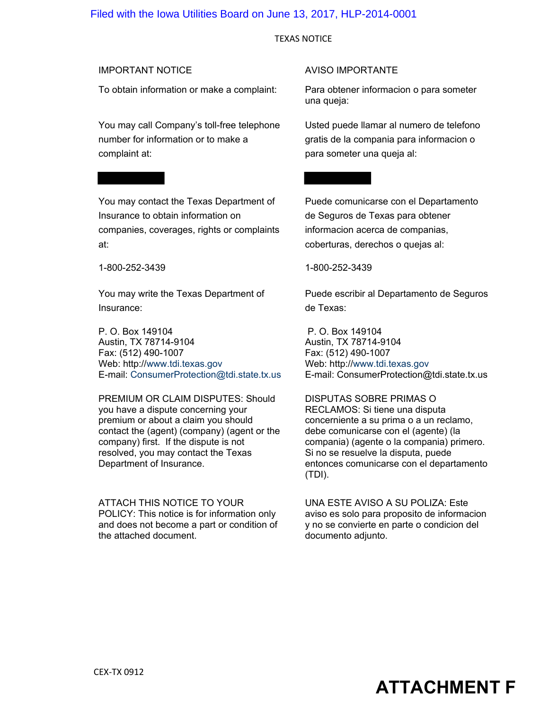#### Filed with the Iowa Utilities Board on June 13, 2017, HLP-2014-0001

#### TEXAS NOTICE

To obtain information or make a complaint: Para obtener informacion o para someter

You may call Company's toll-free telephone number for information or to make a complaint at:

You may contact the Texas Department of Insurance to obtain information on companies, coverages, rights or complaints at:

1-800-252-3439

You may write the Texas Department of Insurance:

P. O. Box 149104 Austin, TX 78714-9104 Fax: (512) 490-1007 Web: http://[www.tdi.texas.gov](http://www.tdi.texas.gov/) E-mail: [ConsumerProtection@tdi.state.tx.us](mailto:ConsumerProtection@tdi.state.tx.us)

PREMIUM OR CLAIM DISPUTES: Should you have a dispute concerning your premium or about a claim you should contact the (agent) (company) (agent or the company) first. If the dispute is not resolved, you may contact the Texas Department of Insurance.

ATTACH THIS NOTICE TO YOUR POLICY: This notice is for information only and does not become a part or condition of the attached document.

#### IMPORTANT NOTICE AVISO IMPORTANTE

una queja:

Usted puede llamar al numero de telefono gratis de la compania para informacion o para someter una queja al:

Puede comunicarse con el Departamento de Seguros de Texas para obtener informacion acerca de companias, coberturas, derechos o quejas al:

1-800-252-3439

Puede escribir al Departamento de Seguros de Texas:

P. O. Box 149104 Austin, TX 78714-9104 Fax: (512) 490-1007 Web: http://[www.tdi.texas.gov](http://www.tdi.texas.gov/) E-mail: ConsumerProtection@tdi.state.tx.us

DISPUTAS SOBRE PRIMAS O RECLAMOS: Si tiene una disputa concerniente a su prima o a un reclamo, debe comunicarse con el (agente) (la compania) (agente o la compania) primero. Si no se resuelve la disputa, puede entonces comunicarse con el departamento (TDI).

UNA ESTE AVISO A SU POLIZA: Este aviso es solo para proposito de informacion y no se convierte en parte o condicion del documento adjunto.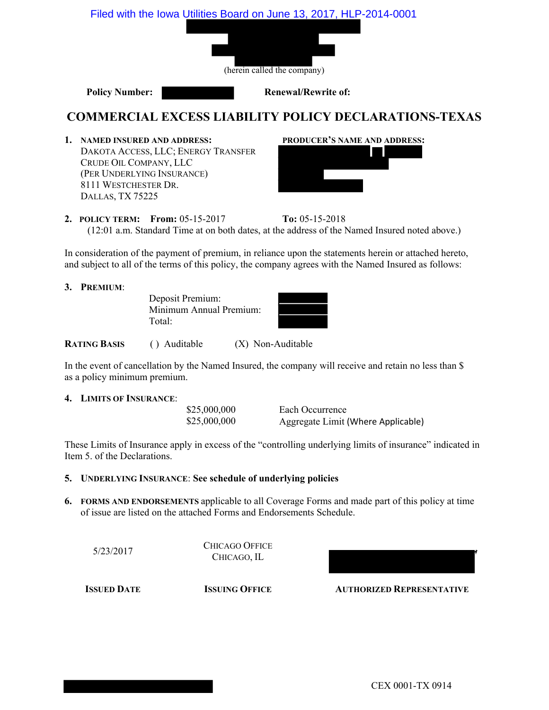

### **COMMERCIAL EXCESS LIABILITY POLICY DECLARATIONS-TEXAS**

**1. NAMED INSURED AND ADDRESS: PRODUCER'S NAME AND ADDRESS:** DAKOTA ACCESS, LLC; ENERGY TRANSFER CRUDE OIL COMPANY, LLC (PER UNDERLYING INSURANCE) 8111 WESTCHESTER DR. DALLAS, TX 75225



**2. POLICY TERM: From:** 05-15-2017 **To:** 05-15-2018 (12:01 a.m. Standard Time at on both dates, at the address of the Named Insured noted above.)

In consideration of the payment of premium, in reliance upon the statements herein or attached hereto, and subject to all of the terms of this policy, the company agrees with the Named Insured as follows:

**3. PREMIUM**:

Deposit Premium: Minimum Annual Premium: Total:

**RATING BASIS** ( ) Auditable (X) Non-Auditable

In the event of cancellation by the Named Insured, the company will receive and retain no less than \$ as a policy minimum premium.

#### **4. LIMITS OF INSURANCE**:

\$25,000,000 Each Occurrence \$25,000,000 Aggregate Limit (Where Applicable)

These Limits of Insurance apply in excess of the "controlling underlying limits of insurance" indicated in Item 5. of the Declarations.

#### **5. UNDERLYING INSURANCE**: **See schedule of underlying policies**

**6. FORMS AND ENDORSEMENTS** applicable to all Coverage Forms and made part of this policy at time of issue are listed on the attached Forms and Endorsements Schedule.

| 5/23/2017          | <b>CHICAGO OFFICE</b><br>CHICAGO, IL |                                  |  |
|--------------------|--------------------------------------|----------------------------------|--|
| <b>ISSUED DATE</b> | <b>ISSUING OFFICE</b>                | <b>AUTHORIZED REPRESENTATIVE</b> |  |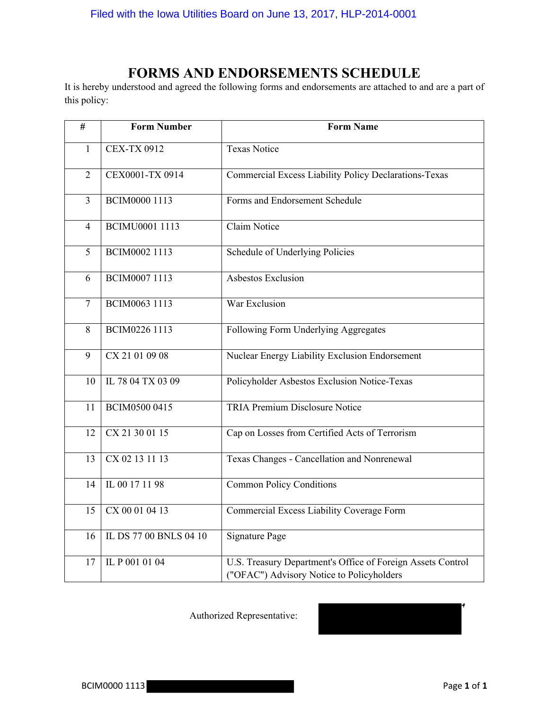# **FORMS AND ENDORSEMENTS SCHEDULE**

It is hereby understood and agreed the following forms and endorsements are attached to and are a part of this policy:

| #                       | <b>Form Number</b>     | <b>Form Name</b>                                                                                         |
|-------------------------|------------------------|----------------------------------------------------------------------------------------------------------|
| $\mathbf{1}$            | <b>CEX-TX 0912</b>     | <b>Texas Notice</b>                                                                                      |
| $\overline{2}$          | CEX0001-TX 0914        | Commercial Excess Liability Policy Declarations-Texas                                                    |
| $\overline{\mathbf{3}}$ | BCIM0000 1113          | Forms and Endorsement Schedule                                                                           |
| 4                       | <b>BCIMU0001 1113</b>  | <b>Claim Notice</b>                                                                                      |
| 5                       | BCIM0002 1113          | Schedule of Underlying Policies                                                                          |
| 6                       | BCIM0007 1113          | Asbestos Exclusion                                                                                       |
| $\overline{7}$          | BCIM0063 1113          | War Exclusion                                                                                            |
| 8                       | BCIM0226 1113          | Following Form Underlying Aggregates                                                                     |
| 9                       | CX 21 01 09 08         | Nuclear Energy Liability Exclusion Endorsement                                                           |
| 10                      | IL 78 04 TX 03 09      | Policyholder Asbestos Exclusion Notice-Texas                                                             |
| 11                      | BCIM0500 0415          | <b>TRIA Premium Disclosure Notice</b>                                                                    |
| 12                      | CX 21 30 01 15         | Cap on Losses from Certified Acts of Terrorism                                                           |
| 13                      | CX 02 13 11 13         | Texas Changes - Cancellation and Nonrenewal                                                              |
| 14                      | IL 00 17 11 98         | <b>Common Policy Conditions</b>                                                                          |
| 15                      | CX 00 01 04 13         | Commercial Excess Liability Coverage Form                                                                |
| 16                      | IL DS 77 00 BNLS 04 10 | <b>Signature Page</b>                                                                                    |
| 17                      | IL P 001 01 04         | U.S. Treasury Department's Office of Foreign Assets Control<br>("OFAC") Advisory Notice to Policyholders |

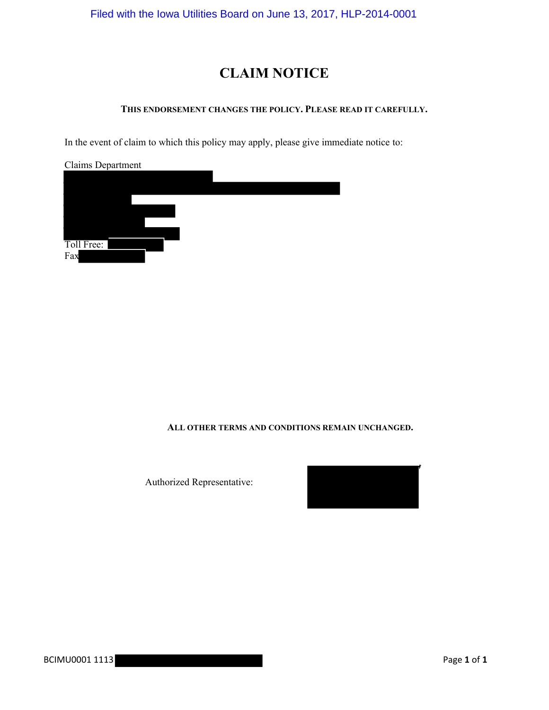Filed with the Iowa Utilities Board on June 13, 2017, HLP-2014-0001

# **CLAIM NOTICE**

#### **THIS ENDORSEMENT CHANGES THE POLICY. PLEASE READ IT CAREFULLY.**

In the event of claim to which this policy may apply, please give immediate notice to:

| Claims Department |  |  |
|-------------------|--|--|
|                   |  |  |
|                   |  |  |
|                   |  |  |
|                   |  |  |
|                   |  |  |
|                   |  |  |
| Toll Free:        |  |  |
| Fax               |  |  |

#### **ALL OTHER TERMS AND CONDITIONS REMAIN UNCHANGED.**

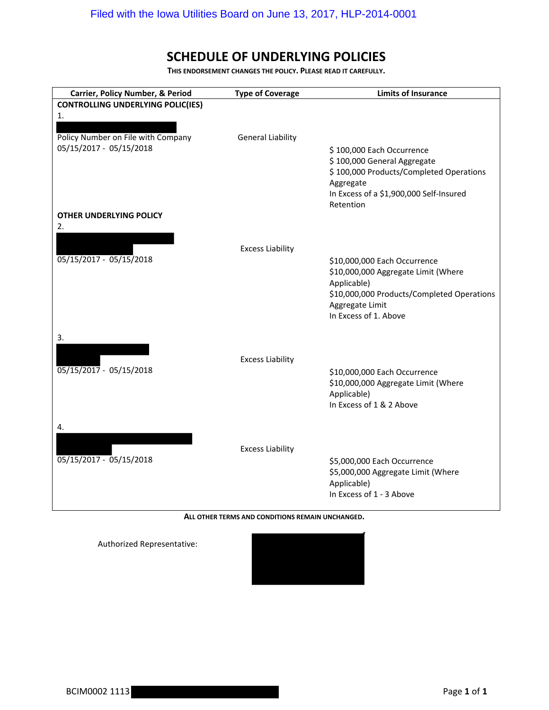## **SCHEDULE OF UNDERLYING POLICIES**

**THIS ENDORSEMENT CHANGES THE POLICY. PLEASE READ IT CAREFULLY.**

| Carrier, Policy Number, & Period                                    | <b>Type of Coverage</b>  | <b>Limits of Insurance</b>                                                                                                                                                   |
|---------------------------------------------------------------------|--------------------------|------------------------------------------------------------------------------------------------------------------------------------------------------------------------------|
| <b>CONTROLLING UNDERLYING POLIC(IES)</b>                            |                          |                                                                                                                                                                              |
| 1.<br>Policy Number on File with Company<br>05/15/2017 - 05/15/2018 | <b>General Liability</b> | \$100,000 Each Occurrence<br>\$100,000 General Aggregate<br>\$100,000 Products/Completed Operations<br>Aggregate<br>In Excess of a \$1,900,000 Self-Insured<br>Retention     |
| OTHER UNDERLYING POLICY                                             |                          |                                                                                                                                                                              |
| 2.<br>05/15/2017 - 05/15/2018                                       | <b>Excess Liability</b>  | \$10,000,000 Each Occurrence<br>\$10,000,000 Aggregate Limit (Where<br>Applicable)<br>\$10,000,000 Products/Completed Operations<br>Aggregate Limit<br>In Excess of 1. Above |
| 3.<br>$\overline{05/15/2017}$ - 05/15/2018                          | <b>Excess Liability</b>  | \$10,000,000 Each Occurrence<br>\$10,000,000 Aggregate Limit (Where<br>Applicable)<br>In Excess of 1 & 2 Above                                                               |
| 4.<br>05/15/2017 - 05/15/2018                                       | <b>Excess Liability</b>  | \$5,000,000 Each Occurrence<br>\$5,000,000 Aggregate Limit (Where<br>Applicable)<br>In Excess of 1 - 3 Above                                                                 |

**ALL OTHER TERMS AND CONDITIONS REMAIN UNCHANGED.**

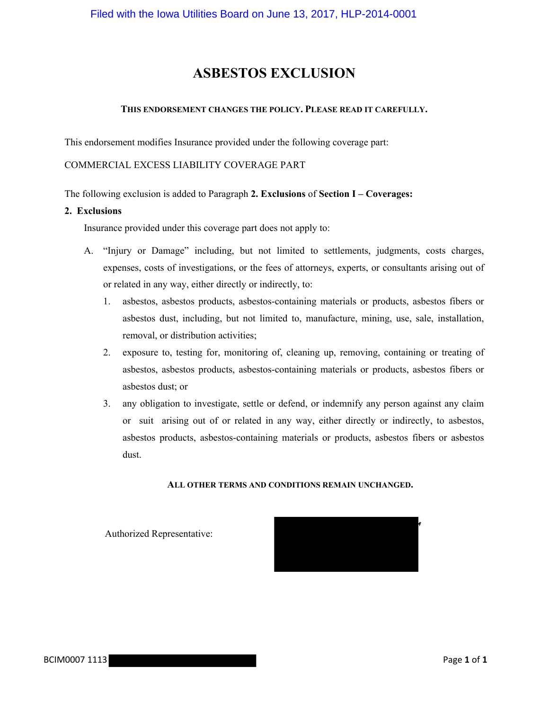# **ASBESTOS EXCLUSION**

#### **THIS ENDORSEMENT CHANGES THE POLICY. PLEASE READ IT CAREFULLY.**

This endorsement modifies Insurance provided under the following coverage part:

#### COMMERCIAL EXCESS LIABILITY COVERAGE PART

The following exclusion is added to Paragraph **2. Exclusions** of **Section I – Coverages:**

#### **2. Exclusions**

Insurance provided under this coverage part does not apply to:

- A. "Injury or Damage" including, but not limited to settlements, judgments, costs charges, expenses, costs of investigations, or the fees of attorneys, experts, or consultants arising out of or related in any way, either directly or indirectly, to:
	- 1. asbestos, asbestos products, asbestos-containing materials or products, asbestos fibers or asbestos dust, including, but not limited to, manufacture, mining, use, sale, installation, removal, or distribution activities;
	- 2. exposure to, testing for, monitoring of, cleaning up, removing, containing or treating of asbestos, asbestos products, asbestos-containing materials or products, asbestos fibers or asbestos dust; or
	- 3. any obligation to investigate, settle or defend, or indemnify any person against any claim or suit arising out of or related in any way, either directly or indirectly, to asbestos, asbestos products, asbestos-containing materials or products, asbestos fibers or asbestos dust.

#### **ALL OTHER TERMS AND CONDITIONS REMAIN UNCHANGED.**

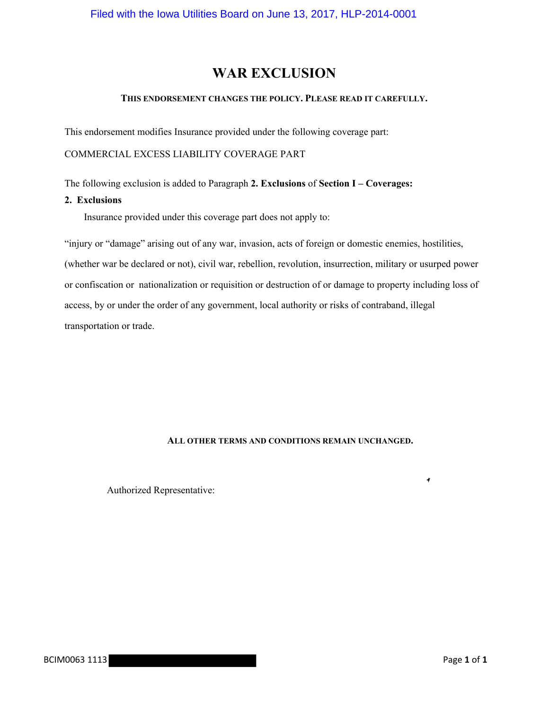# **WAR EXCLUSION**

#### **THIS ENDORSEMENT CHANGES THE POLICY. PLEASE READ IT CAREFULLY.**

This endorsement modifies Insurance provided under the following coverage part:

COMMERCIAL EXCESS LIABILITY COVERAGE PART

The following exclusion is added to Paragraph **2. Exclusions** of **Section I – Coverages:**

#### **2. Exclusions**

Insurance provided under this coverage part does not apply to:

"injury or "damage" arising out of any war, invasion, acts of foreign or domestic enemies, hostilities, (whether war be declared or not), civil war, rebellion, revolution, insurrection, military or usurped power or confiscation or nationalization or requisition or destruction of or damage to property including loss of access, by or under the order of any government, local authority or risks of contraband, illegal transportation or trade.

#### **ALL OTHER TERMS AND CONDITIONS REMAIN UNCHANGED.**

Authorized Representative:

4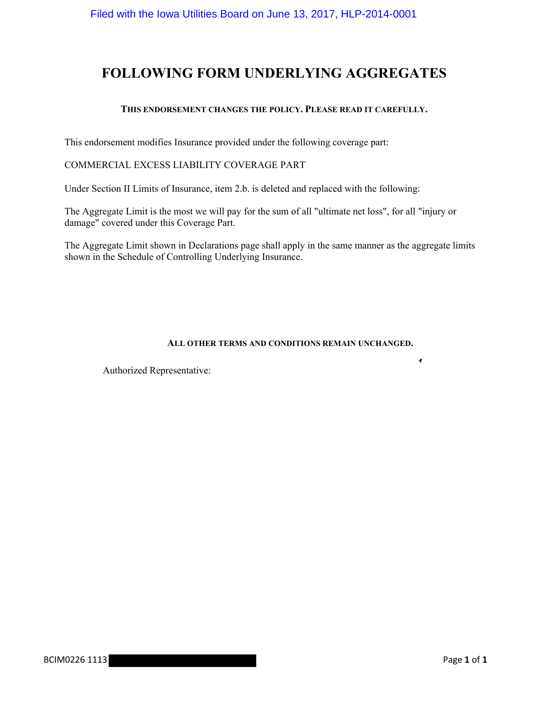# **FOLLOWING FORM UNDERLYING AGGREGATES**

#### **THIS ENDORSEMENT CHANGES THE POLICY. PLEASE READ IT CAREFULLY.**

This endorsement modifies Insurance provided under the following coverage part:

### COMMERCIAL EXCESS LIABILITY COVERAGE PART

Under Section II Limits of Insurance, item 2.b. is deleted and replaced with the following:

The Aggregate Limit is the most we will pay for the sum of all "ultimate net loss", for all "injury or damage" covered under this Coverage Part.

The Aggregate Limit shown in Declarations page shall apply in the same manner as the aggregate limits shown in the Schedule of Controlling Underlying Insurance.

#### **ALL OTHER TERMS AND CONDITIONS REMAIN UNCHANGED.**

Authorized Representative:

 $\pmb{\ast}$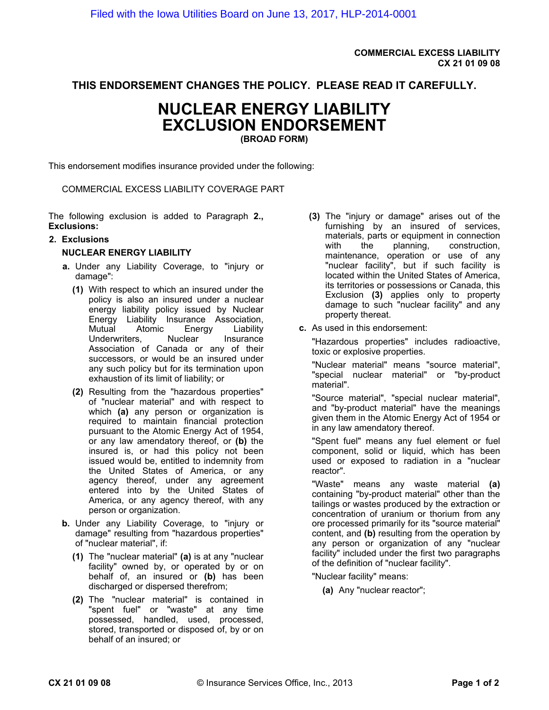**COMMERCIAL EXCESS LIABILITY CX 21 01 09 08**

**THIS ENDORSEMENT CHANGES THE POLICY. PLEASE READ IT CAREFULLY.**

# **NUCLEAR ENERGY LIABILITY EXCLUSION ENDORSEMENT**

**(BROAD FORM)**

This endorsement modifies insurance provided under the following:

COMMERCIAL EXCESS LIABILITY COVERAGE PART

The following exclusion is added to Paragraph **2., Exclusions:**

#### **2. Exclusions**

#### **NUCLEAR ENERGY LIABILITY**

- **a.** Under any Liability Coverage, to "injury or damage":
	- **(1)** With respect to which an insured under the policy is also an insured under a nuclear energy liability policy issued by Nuclear Energy Liability Insurance Association, Mutual Atomic Energy Liability Underwriters. Nuclear Insurance Association of Canada or any of their successors, or would be an insured under any such policy but for its termination upon exhaustion of its limit of liability; or
	- **(2)** Resulting from the "hazardous properties" of "nuclear material" and with respect to which **(a)** any person or organization is required to maintain financial protection pursuant to the Atomic Energy Act of 1954, or any law amendatory thereof, or **(b)** the insured is, or had this policy not been issued would be, entitled to indemnity from the United States of America, or any agency thereof, under any agreement entered into by the United States of America, or any agency thereof, with any person or organization.
- **b.** Under any Liability Coverage, to "injury or damage" resulting from "hazardous properties" of "nuclear material", if:
	- **(1)** The "nuclear material" **(a)** is at any "nuclear facility" owned by, or operated by or on behalf of, an insured or **(b)** has been discharged or dispersed therefrom;
	- **(2)** The "nuclear material" is contained in "spent fuel" or "waste" at any time possessed, handled, used, processed, stored, transported or disposed of, by or on behalf of an insured; or
- **(3)** The "injury or damage" arises out of the furnishing by an insured of services, materials, parts or equipment in connection with the planning, construction, maintenance, operation or use of any "nuclear facility", but if such facility is located within the United States of America, its territories or possessions or Canada, this Exclusion **(3)** applies only to property damage to such "nuclear facility" and any property thereat.
- **c.** As used in this endorsement:

"Hazardous properties" includes radioactive, toxic or explosive properties.

"Nuclear material" means "source material", "special nuclear material" or "by-product material".

"Source material", "special nuclear material", and "by-product material" have the meanings given them in the Atomic Energy Act of 1954 or in any law amendatory thereof.

"Spent fuel" means any fuel element or fuel component, solid or liquid, which has been used or exposed to radiation in a "nuclear reactor".

"Waste" means any waste material **(a)** containing "by-product material" other than the tailings or wastes produced by the extraction or concentration of uranium or thorium from any ore processed primarily for its "source material" content, and **(b)** resulting from the operation by any person or organization of any "nuclear facility" included under the first two paragraphs of the definition of "nuclear facility".

"Nuclear facility" means:

**(a)** Any "nuclear reactor";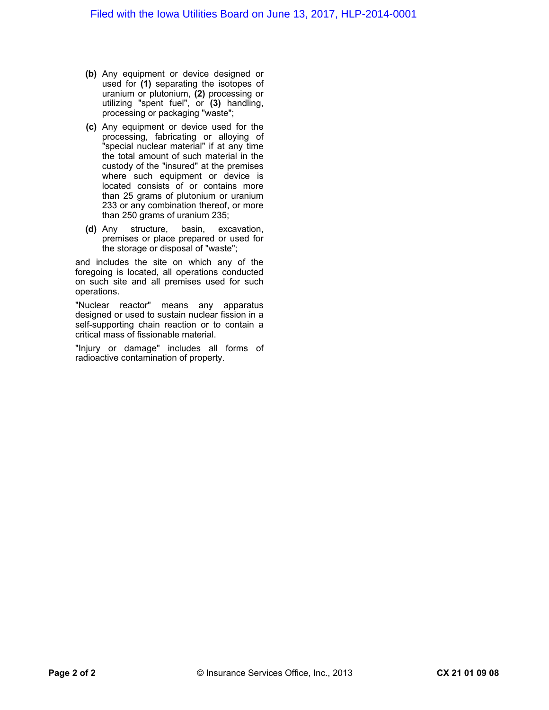- **(b)** Any equipment or device designed or used for **(1)** separating the isotopes of uranium or plutonium, **(2)** processing or utilizing "spent fuel", or **(3)** handling, processing or packaging "waste";
- **(c)** Any equipment or device used for the processing, fabricating or alloying of "special nuclear material" if at any time the total amount of such material in the custody of the "insured" at the premises where such equipment or device is located consists of or contains more than 25 grams of plutonium or uranium 233 or any combination thereof, or more than 250 grams of uranium 235;
- **(d)** Any structure, basin, excavation, premises or place prepared or used for the storage or disposal of "waste";

and includes the site on which any of the foregoing is located, all operations conducted on such site and all premises used for such operations.

"Nuclear reactor" means any apparatus designed or used to sustain nuclear fission in a self-supporting chain reaction or to contain a critical mass of fissionable material.

"Injury or damage" includes all forms of radioactive contamination of property.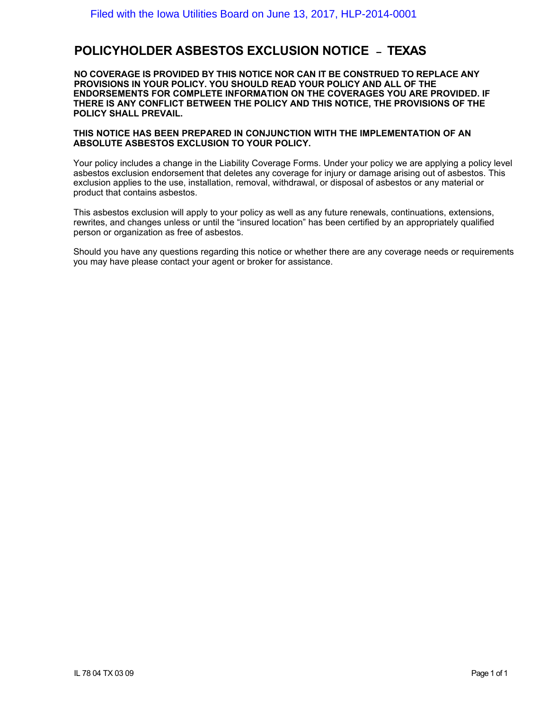### **POLICYHOLDER ASBESTOS EXCLUSION NOTICE** – **TEXAS**

**NO COVERAGE IS PROVIDED BY THIS NOTICE NOR CAN IT BE CONSTRUED TO REPLACE ANY PROVISIONS IN YOUR POLICY. YOU SHOULD READ YOUR POLICY AND ALL OF THE ENDORSEMENTS FOR COMPLETE INFORMATION ON THE COVERAGES YOU ARE PROVIDED. IF THERE IS ANY CONFLICT BETWEEN THE POLICY AND THIS NOTICE, THE PROVISIONS OF THE POLICY SHALL PREVAIL.**

#### **THIS NOTICE HAS BEEN PREPARED IN CONJUNCTION WITH THE IMPLEMENTATION OF AN ABSOLUTE ASBESTOS EXCLUSION TO YOUR POLICY.**

Your policy includes a change in the Liability Coverage Forms. Under your policy we are applying a policy level asbestos exclusion endorsement that deletes any coverage for injury or damage arising out of asbestos. This exclusion applies to the use, installation, removal, withdrawal, or disposal of asbestos or any material or product that contains asbestos.

This asbestos exclusion will apply to your policy as well as any future renewals, continuations, extensions, rewrites, and changes unless or until the "insured location" has been certified by an appropriately qualified person or organization as free of asbestos.

Should you have any questions regarding this notice or whether there are any coverage needs or requirements you may have please contact your agent or broker for assistance.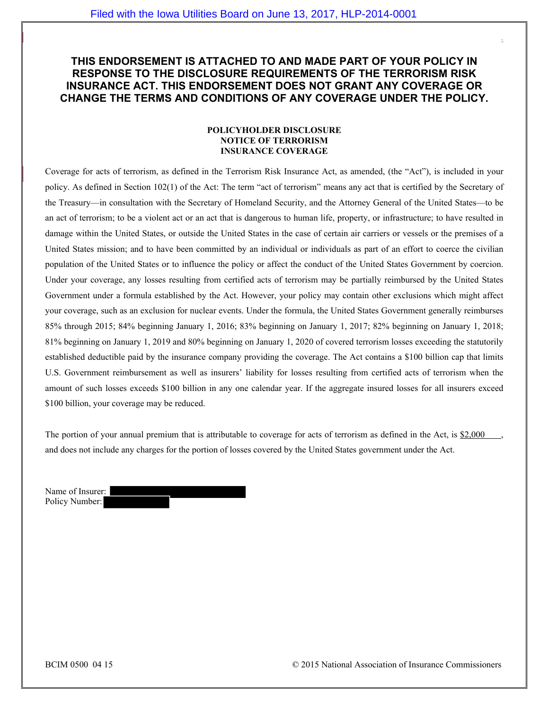### **THIS ENDORSEMENT IS ATTACHED TO AND MADE PART OF YOUR POLICY IN RESPONSE TO THE DISCLOSURE REQUIREMENTS OF THE TERRORISM RISK INSURANCE ACT. THIS ENDORSEMENT DOES NOT GRANT ANY COVERAGE OR CHANGE THE TERMS AND CONDITIONS OF ANY COVERAGE UNDER THE POLICY.**

#### **POLICYHOLDER DISCLOSURE NOTICE OF TERRORISM INSURANCE COVERAGE**

Coverage for acts of terrorism, as defined in the Terrorism Risk Insurance Act, as amended, (the "Act"), is included in your policy. As defined in Section 102(1) of the Act: The term "act of terrorism" means any act that is certified by the Secretary of the Treasury—in consultation with the Secretary of Homeland Security, and the Attorney General of the United States—to be an act of terrorism; to be a violent act or an act that is dangerous to human life, property, or infrastructure; to have resulted in damage within the United States, or outside the United States in the case of certain air carriers or vessels or the premises of a United States mission; and to have been committed by an individual or individuals as part of an effort to coerce the civilian population of the United States or to influence the policy or affect the conduct of the United States Government by coercion. Under your coverage, any losses resulting from certified acts of terrorism may be partially reimbursed by the United States Government under a formula established by the Act. However, your policy may contain other exclusions which might affect your coverage, such as an exclusion for nuclear events. Under the formula, the United States Government generally reimburses 85% through 2015; 84% beginning January 1, 2016; 83% beginning on January 1, 2017; 82% beginning on January 1, 2018; 81% beginning on January 1, 2019 and 80% beginning on January 1, 2020 of covered terrorism losses exceeding the statutorily established deductible paid by the insurance company providing the coverage. The Act contains a \$100 billion cap that limits U.S. Government reimbursement as well as insurers' liability for losses resulting from certified acts of terrorism when the amount of such losses exceeds \$100 billion in any one calendar year. If the aggregate insured losses for all insurers exceed \$100 billion, your coverage may be reduced.

The portion of your annual premium that is attributable to coverage for acts of terrorism as defined in the Act, is \$2,000 and does not include any charges for the portion of losses covered by the United States government under the Act.

Name of Insurer: Policy Number:

BCIM 0500 04 15 © 2015 National Association of Insurance Commissioners

.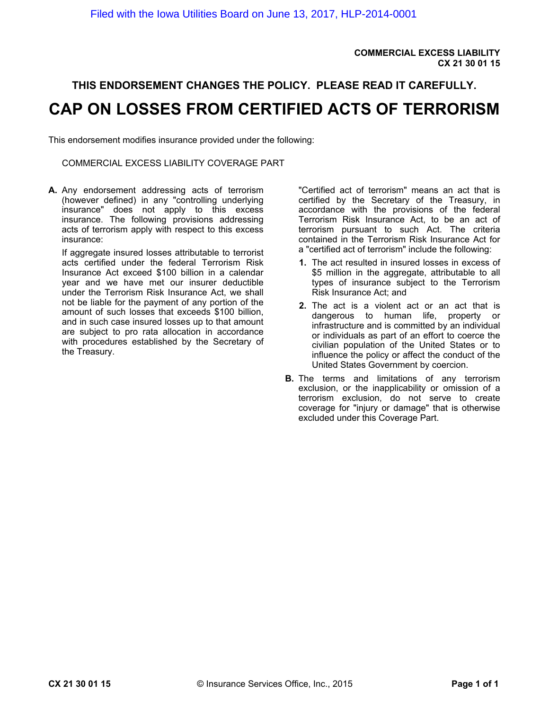**COMMERCIAL EXCESS LIABILITY CX 21 30 01 15**

# **THIS ENDORSEMENT CHANGES THE POLICY. PLEASE READ IT CAREFULLY. CAP ON LOSSES FROM CERTIFIED ACTS OF TERRORISM**

This endorsement modifies insurance provided under the following:

COMMERCIAL EXCESS LIABILITY COVERAGE PART

**A.** Any endorsement addressing acts of terrorism (however defined) in any "controlling underlying insurance" does not apply to this excess insurance. The following provisions addressing acts of terrorism apply with respect to this excess insurance:

If aggregate insured losses attributable to terrorist acts certified under the federal Terrorism Risk Insurance Act exceed \$100 billion in a calendar year and we have met our insurer deductible under the Terrorism Risk Insurance Act, we shall not be liable for the payment of any portion of the amount of such losses that exceeds \$100 billion, and in such case insured losses up to that amount are subject to pro rata allocation in accordance with procedures established by the Secretary of the Treasury.

"Certified act of terrorism" means an act that is certified by the Secretary of the Treasury, in accordance with the provisions of the federal Terrorism Risk Insurance Act, to be an act of terrorism pursuant to such Act. The criteria contained in the Terrorism Risk Insurance Act for a "certified act of terrorism" include the following:

- **1.** The act resulted in insured losses in excess of \$5 million in the aggregate, attributable to all types of insurance subject to the Terrorism Risk Insurance Act; and
- **2.** The act is a violent act or an act that is dangerous to human life, property or infrastructure and is committed by an individual or individuals as part of an effort to coerce the civilian population of the United States or to influence the policy or affect the conduct of the United States Government by coercion.
- **B.** The terms and limitations of any terrorism exclusion, or the inapplicability or omission of a terrorism exclusion, do not serve to create coverage for "injury or damage" that is otherwise excluded under this Coverage Part.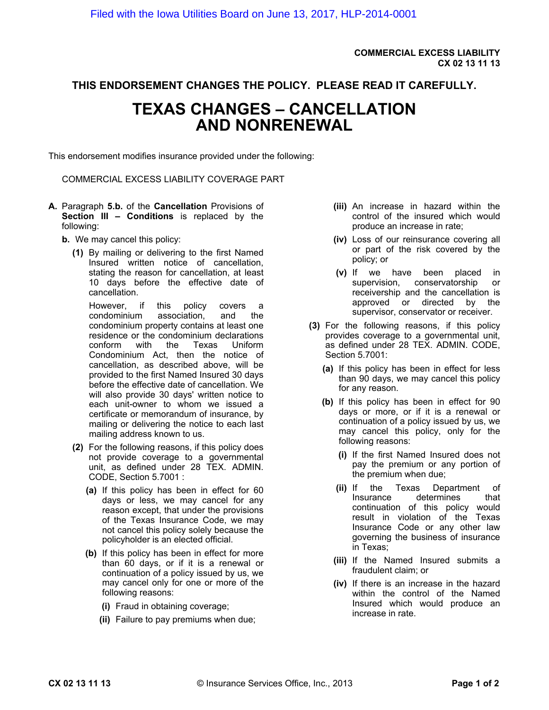**COMMERCIAL EXCESS LIABILITY CX 02 13 11 13**

### **THIS ENDORSEMENT CHANGES THE POLICY. PLEASE READ IT CAREFULLY.**

# **TEXAS CHANGES – CANCELLATION AND NONRENEWAL**

This endorsement modifies insurance provided under the following:

COMMERCIAL EXCESS LIABILITY COVERAGE PART

- **A.** Paragraph **5.b.** of the **Cancellation** Provisions of **Section III – Conditions** is replaced by the following:
	- **b.** We may cancel this policy:
		- **(1)** By mailing or delivering to the first Named Insured written notice of cancellation, stating the reason for cancellation, at least 10 days before the effective date of cancellation.

However, if this policy covers a condominium association, and the condominium property contains at least one residence or the condominium declarations conform with the Texas Uniform Condominium Act, then the notice of cancellation, as described above, will be provided to the first Named Insured 30 days before the effective date of cancellation. We will also provide 30 days' written notice to each unit-owner to whom we issued a certificate or memorandum of insurance, by mailing or delivering the notice to each last mailing address known to us.

- **(2)** For the following reasons, if this policy does not provide coverage to a governmental unit, as defined under 28 TEX. ADMIN. CODE, Section 5.7001 :
	- **(a)** If this policy has been in effect for 60 days or less, we may cancel for any reason except, that under the provisions of the Texas Insurance Code, we may not cancel this policy solely because the policyholder is an elected official.
	- **(b)** If this policy has been in effect for more than 60 days, or if it is a renewal or continuation of a policy issued by us, we may cancel only for one or more of the following reasons:
		- **(i)** Fraud in obtaining coverage;
		- **(ii)** Failure to pay premiums when due;
- **(iii)** An increase in hazard within the control of the insured which would produce an increase in rate;
- **(iv)** Loss of our reinsurance covering all or part of the risk covered by the policy; or
- **(v)** If we have been placed in supervision, conservatorship or receivership and the cancellation is approved or directed by the supervisor, conservator or receiver.
- **(3)** For the following reasons, if this policy provides coverage to a governmental unit, as defined under 28 TEX. ADMIN. CODE, Section 5.7001:
	- **(a)** If this policy has been in effect for less than 90 days, we may cancel this policy for any reason.
	- **(b)** If this policy has been in effect for 90 days or more, or if it is a renewal or continuation of a policy issued by us, we may cancel this policy, only for the following reasons:
		- **(i)** If the first Named Insured does not pay the premium or any portion of the premium when due;
		- **(ii)** If the Texas Department of Insurance determines that continuation of this policy would result in violation of the Texas Insurance Code or any other law governing the business of insurance in Texas;
		- **(iii)** If the Named Insured submits a fraudulent claim; or
		- **(iv)** If there is an increase in the hazard within the control of the Named Insured which would produce an increase in rate.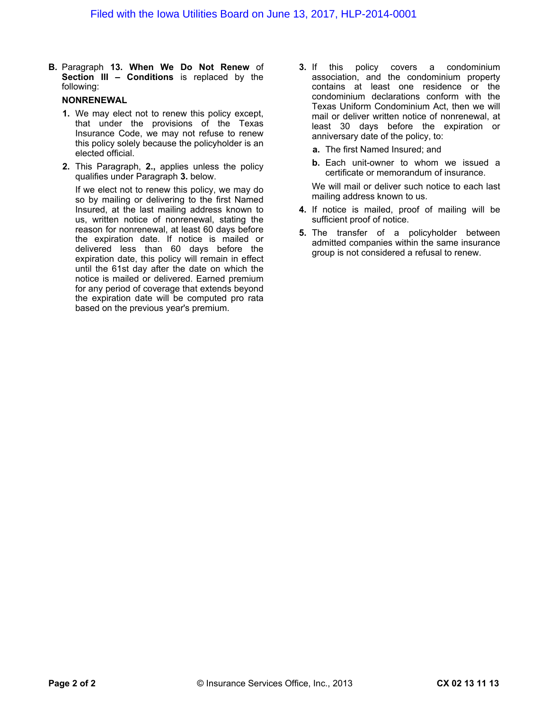**B.** Paragraph **13. When We Do Not Renew** of **Section III – Conditions** is replaced by the following:

#### **NONRENEWAL**

- **1.** We may elect not to renew this policy except, that under the provisions of the Texas Insurance Code, we may not refuse to renew this policy solely because the policyholder is an elected official.
- **2.** This Paragraph, **2.,** applies unless the policy qualifies under Paragraph **3.** below.

If we elect not to renew this policy, we may do so by mailing or delivering to the first Named Insured, at the last mailing address known to us, written notice of nonrenewal, stating the reason for nonrenewal, at least 60 days before the expiration date. If notice is mailed or delivered less than 60 days before the expiration date, this policy will remain in effect until the 61st day after the date on which the notice is mailed or delivered. Earned premium for any period of coverage that extends beyond the expiration date will be computed pro rata based on the previous year's premium.

- **3.** If this policy covers a condominium association, and the condominium property contains at least one residence or the condominium declarations conform with the Texas Uniform Condominium Act, then we will mail or deliver written notice of nonrenewal, at least 30 days before the expiration or anniversary date of the policy, to:
	- **a.** The first Named Insured; and
	- **b.** Each unit-owner to whom we issued a certificate or memorandum of insurance.

We will mail or deliver such notice to each last mailing address known to us.

- **4.** If notice is mailed, proof of mailing will be sufficient proof of notice.
- **5.** The transfer of a policyholder between admitted companies within the same insurance group is not considered a refusal to renew.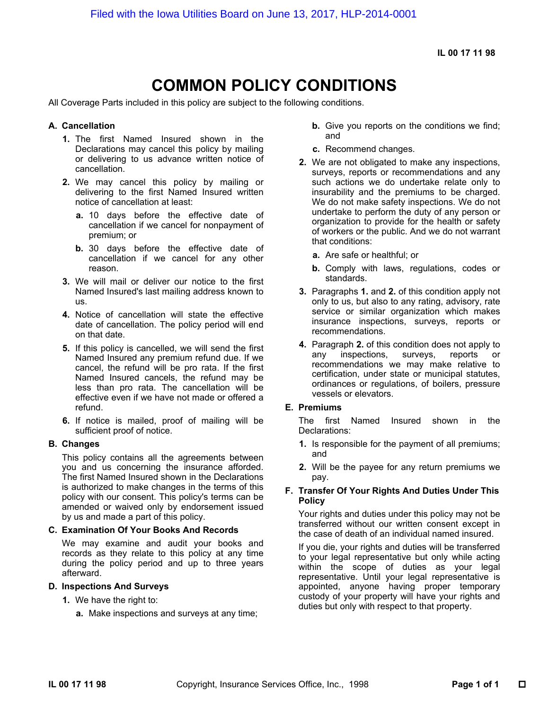**IL 00 17 11 98**

# **COMMON POLICY CONDITIONS**

All Coverage Parts included in this policy are subject to the following conditions.

#### **A. Cancellation**

- **1.** The first Named Insured shown in the Declarations may cancel this policy by mailing or delivering to us advance written notice of cancellation.
- **2.** We may cancel this policy by mailing or delivering to the first Named Insured written notice of cancellation at least:
	- **a.** 10 days before the effective date of cancellation if we cancel for nonpayment of premium; or
	- **b.** 30 days before the effective date of cancellation if we cancel for any other reason.
- **3.** We will mail or deliver our notice to the first Named Insured's last mailing address known to us.
- **4.** Notice of cancellation will state the effective date of cancellation. The policy period will end on that date.
- **5.** If this policy is cancelled, we will send the first Named Insured any premium refund due. If we cancel, the refund will be pro rata. If the first Named Insured cancels, the refund may be less than pro rata. The cancellation will be effective even if we have not made or offered a refund.
- **6.** If notice is mailed, proof of mailing will be sufficient proof of notice.

#### **B. Changes**

This policy contains all the agreements between you and us concerning the insurance afforded. The first Named Insured shown in the Declarations is authorized to make changes in the terms of this policy with our consent. This policy's terms can be amended or waived only by endorsement issued by us and made a part of this policy.

#### **C. Examination Of Your Books And Records**

We may examine and audit your books and records as they relate to this policy at any time during the policy period and up to three years afterward.

#### **D. Inspections And Surveys**

- **1.** We have the right to:
	- **a.** Make inspections and surveys at any time;
- **b.** Give you reports on the conditions we find; and
- **c.** Recommend changes.
- **2.** We are not obligated to make any inspections, surveys, reports or recommendations and any such actions we do undertake relate only to insurability and the premiums to be charged. We do not make safety inspections. We do not undertake to perform the duty of any person or organization to provide for the health or safety of workers or the public. And we do not warrant that conditions:
	- **a.** Are safe or healthful; or
	- **b.** Comply with laws, regulations, codes or standards.
- **3.** Paragraphs **1.** and **2.** of this condition apply not only to us, but also to any rating, advisory, rate service or similar organization which makes insurance inspections, surveys, reports or recommendations.
- **4.** Paragraph **2.** of this condition does not apply to any inspections, surveys, reports or recommendations we may make relative to certification, under state or municipal statutes, ordinances or regulations, of boilers, pressure vessels or elevators.

#### **E. Premiums**

The first Named Insured shown in the Declarations:

- **1.** Is responsible for the payment of all premiums; and
- **2.** Will be the payee for any return premiums we pay.

#### **F. Transfer Of Your Rights And Duties Under This Policy**

Your rights and duties under this policy may not be transferred without our written consent except in the case of death of an individual named insured.

If you die, your rights and duties will be transferred to your legal representative but only while acting within the scope of duties as your legal representative. Until your legal representative is appointed, anyone having proper temporary custody of your property will have your rights and duties but only with respect to that property.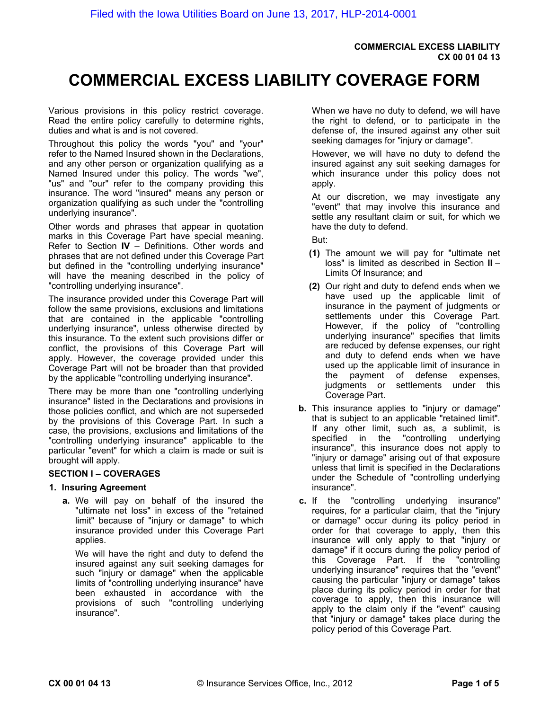#### **COMMERCIAL EXCESS LIABILITY CX 00 01 04 13**

# **COMMERCIAL EXCESS LIABILITY COVERAGE FORM**

Various provisions in this policy restrict coverage. Read the entire policy carefully to determine rights, duties and what is and is not covered.

Throughout this policy the words "you" and "your" refer to the Named Insured shown in the Declarations, and any other person or organization qualifying as a Named Insured under this policy. The words "we", "us" and "our" refer to the company providing this insurance. The word "insured" means any person or organization qualifying as such under the "controlling underlying insurance".

Other words and phrases that appear in quotation marks in this Coverage Part have special meaning. Refer to Section **IV** – Definitions. Other words and phrases that are not defined under this Coverage Part but defined in the "controlling underlying insurance" will have the meaning described in the policy of "controlling underlying insurance".

The insurance provided under this Coverage Part will follow the same provisions, exclusions and limitations that are contained in the applicable "controlling underlying insurance", unless otherwise directed by this insurance. To the extent such provisions differ or conflict, the provisions of this Coverage Part will apply. However, the coverage provided under this Coverage Part will not be broader than that provided by the applicable "controlling underlying insurance".

There may be more than one "controlling underlying insurance" listed in the Declarations and provisions in those policies conflict, and which are not superseded by the provisions of this Coverage Part. In such a case, the provisions, exclusions and limitations of the "controlling underlying insurance" applicable to the particular "event" for which a claim is made or suit is brought will apply.

#### **SECTION I – COVERAGES**

#### **1. Insuring Agreement**

**a.** We will pay on behalf of the insured the "ultimate net loss" in excess of the "retained limit" because of "injury or damage" to which insurance provided under this Coverage Part applies.

We will have the right and duty to defend the insured against any suit seeking damages for such "injury or damage" when the applicable limits of "controlling underlying insurance" have been exhausted in accordance with the provisions of such "controlling underlying insurance".

When we have no duty to defend, we will have the right to defend, or to participate in the defense of, the insured against any other suit seeking damages for "injury or damage".

However, we will have no duty to defend the insured against any suit seeking damages for which insurance under this policy does not apply.

At our discretion, we may investigate any "event" that may involve this insurance and settle any resultant claim or suit, for which we have the duty to defend.

But:

- **(1)** The amount we will pay for "ultimate net loss" is limited as described in Section **II** – Limits Of Insurance; and
- **(2)** Our right and duty to defend ends when we have used up the applicable limit of insurance in the payment of judgments or settlements under this Coverage Part. However, if the policy of "controlling underlying insurance" specifies that limits are reduced by defense expenses, our right and duty to defend ends when we have used up the applicable limit of insurance in the payment of defense expenses, judgments or settlements under this Coverage Part.
- **b.** This insurance applies to "injury or damage" that is subject to an applicable "retained limit". If any other limit, such as, a sublimit, is specified in the "controlling underlying insurance", this insurance does not apply to "injury or damage" arising out of that exposure unless that limit is specified in the Declarations under the Schedule of "controlling underlying insurance".
- **c.** If the "controlling underlying insurance" requires, for a particular claim, that the "injury or damage" occur during its policy period in order for that coverage to apply, then this insurance will only apply to that "injury or damage" if it occurs during the policy period of this Coverage Part. If the "controlling underlying insurance" requires that the "event" causing the particular "injury or damage" takes place during its policy period in order for that coverage to apply, then this insurance will apply to the claim only if the "event" causing that "injury or damage" takes place during the policy period of this Coverage Part.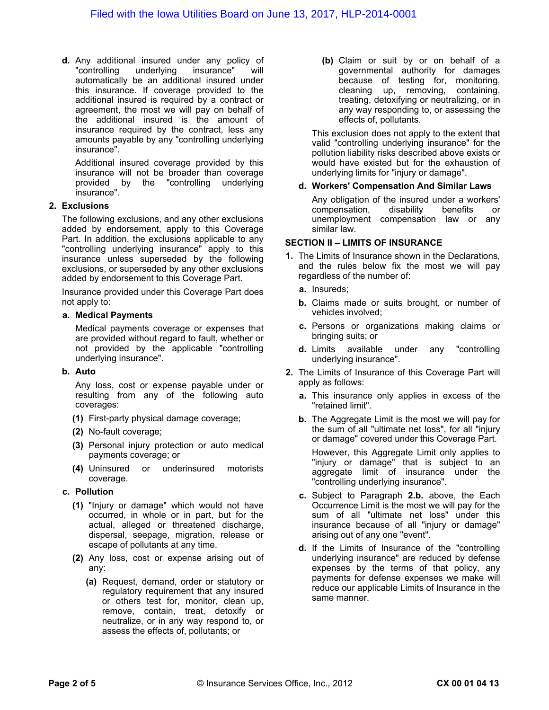**d.** Any additional insured under any policy of "controlling underlying insurance" will automatically be an additional insured under this insurance. If coverage provided to the additional insured is required by a contract or agreement, the most we will pay on behalf of the additional insured is the amount of insurance required by the contract, less any amounts payable by any "controlling underlying insurance".

Additional insured coverage provided by this insurance will not be broader than coverage provided by the "controlling underlying insurance".

#### **2. Exclusions**

The following exclusions, and any other exclusions added by endorsement, apply to this Coverage Part. In addition, the exclusions applicable to any "controlling underlying insurance" apply to this insurance unless superseded by the following exclusions, or superseded by any other exclusions added by endorsement to this Coverage Part.

Insurance provided under this Coverage Part does not apply to:

#### **a. Medical Payments**

Medical payments coverage or expenses that are provided without regard to fault, whether or not provided by the applicable "controlling underlying insurance".

#### **b. Auto**

Any loss, cost or expense payable under or resulting from any of the following auto coverages:

- **(1)** First-party physical damage coverage;
- **(2)** No-fault coverage;
- **(3)** Personal injury protection or auto medical payments coverage; or
- **(4)** Uninsured or underinsured motorists coverage.

#### **c. Pollution**

- **(1)** "Injury or damage" which would not have occurred, in whole or in part, but for the actual, alleged or threatened discharge, dispersal, seepage, migration, release or escape of pollutants at any time.
- **(2)** Any loss, cost or expense arising out of any:
	- **(a)** Request, demand, order or statutory or regulatory requirement that any insured or others test for, monitor, clean up, remove, contain, treat, detoxify or neutralize, or in any way respond to, or assess the effects of, pollutants; or

**(b)** Claim or suit by or on behalf of a governmental authority for damages because of testing for, monitoring, cleaning up, removing, containing, treating, detoxifying or neutralizing, or in any way responding to, or assessing the effects of, pollutants.

This exclusion does not apply to the extent that valid "controlling underlying insurance" for the pollution liability risks described above exists or would have existed but for the exhaustion of underlying limits for "injury or damage".

#### **d. Workers' Compensation And Similar Laws**

Any obligation of the insured under a workers' compensation, disability benefits or unemployment compensation law or any similar law.

#### **SECTION II – LIMITS OF INSURANCE**

- **1.** The Limits of Insurance shown in the Declarations, and the rules below fix the most we will pay regardless of the number of:
	- **a.** Insureds;
	- **b.** Claims made or suits brought, or number of vehicles involved;
	- **c.** Persons or organizations making claims or bringing suits; or
	- **d.** Limits available under any "controlling underlying insurance".
- **2.** The Limits of Insurance of this Coverage Part will apply as follows:
	- **a.** This insurance only applies in excess of the "retained limit".
	- **b.** The Aggregate Limit is the most we will pay for the sum of all "ultimate net loss", for all "injury or damage" covered under this Coverage Part.

However, this Aggregate Limit only applies to "injury or damage" that is subject to an aggregate limit of insurance under the "controlling underlying insurance".

- **c.** Subject to Paragraph **2.b.** above, the Each Occurrence Limit is the most we will pay for the sum of all "ultimate net loss" under this insurance because of all "injury or damage" arising out of any one "event".
- **d.** If the Limits of Insurance of the "controlling underlying insurance" are reduced by defense expenses by the terms of that policy, any payments for defense expenses we make will reduce our applicable Limits of Insurance in the same manner.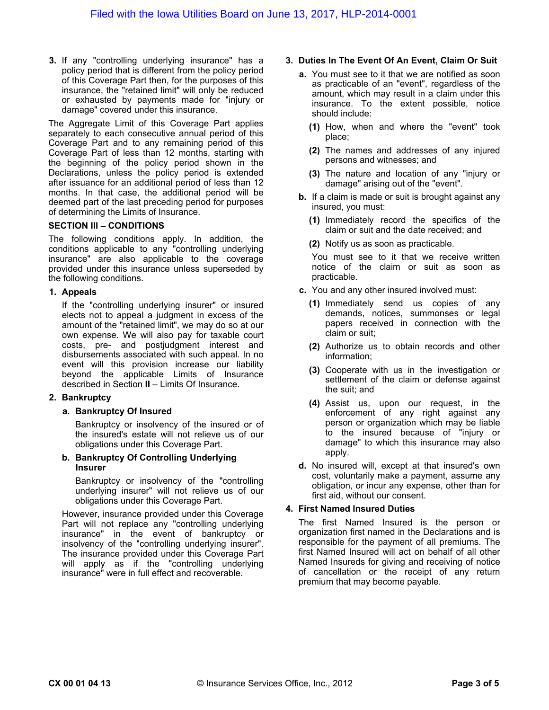**3.** If any "controlling underlying insurance" has a policy period that is different from the policy period of this Coverage Part then, for the purposes of this insurance, the "retained limit" will only be reduced or exhausted by payments made for "injury or damage" covered under this insurance.

The Aggregate Limit of this Coverage Part applies separately to each consecutive annual period of this Coverage Part and to any remaining period of this Coverage Part of less than 12 months, starting with the beginning of the policy period shown in the Declarations, unless the policy period is extended after issuance for an additional period of less than 12 months. In that case, the additional period will be deemed part of the last preceding period for purposes of determining the Limits of Insurance.

#### **SECTION III – CONDITIONS**

The following conditions apply. In addition, the conditions applicable to any "controlling underlying insurance" are also applicable to the coverage provided under this insurance unless superseded by the following conditions.

#### **1. Appeals**

If the "controlling underlying insurer" or insured elects not to appeal a judgment in excess of the amount of the "retained limit", we may do so at our own expense. We will also pay for taxable court costs, pre- and postjudgment interest and disbursements associated with such appeal. In no event will this provision increase our liability beyond the applicable Limits of Insurance described in Section **II** – Limits Of Insurance.

#### **2. Bankruptcy**

#### **a. Bankruptcy Of Insured**

Bankruptcy or insolvency of the insured or of the insured's estate will not relieve us of our obligations under this Coverage Part.

**b. Bankruptcy Of Controlling Underlying Insurer**

Bankruptcy or insolvency of the "controlling underlying insurer" will not relieve us of our obligations under this Coverage Part.

However, insurance provided under this Coverage Part will not replace any "controlling underlying insurance" in the event of bankruptcy or insolvency of the "controlling underlying insurer". The insurance provided under this Coverage Part will apply as if the "controlling underlying insurance" were in full effect and recoverable.

#### **3. Duties In The Event Of An Event, Claim Or Suit**

- **a.** You must see to it that we are notified as soon as practicable of an "event", regardless of the amount, which may result in a claim under this insurance. To the extent possible, notice should include:
	- **(1)** How, when and where the "event" took place;
	- **(2)** The names and addresses of any injured persons and witnesses; and
	- **(3)** The nature and location of any "injury or damage" arising out of the "event".
- **b.** If a claim is made or suit is brought against any insured, you must:
	- **(1)** Immediately record the specifics of the claim or suit and the date received; and
	- **(2)** Notify us as soon as practicable.

You must see to it that we receive written notice of the claim or suit as soon as practicable.

- **c.** You and any other insured involved must:
	- **(1)** Immediately send us copies of any demands, notices, summonses or legal papers received in connection with the claim or suit;
	- **(2)** Authorize us to obtain records and other information;
	- **(3)** Cooperate with us in the investigation or settlement of the claim or defense against the suit; and
	- **(4)** Assist us, upon our request, in the enforcement of any right against any person or organization which may be liable to the insured because of "injury or damage" to which this insurance may also apply.
- **d.** No insured will, except at that insured's own cost, voluntarily make a payment, assume any obligation, or incur any expense, other than for first aid, without our consent.

#### **4. First Named Insured Duties**

The first Named Insured is the person or organization first named in the Declarations and is responsible for the payment of all premiums. The first Named Insured will act on behalf of all other Named Insureds for giving and receiving of notice of cancellation or the receipt of any return premium that may become payable.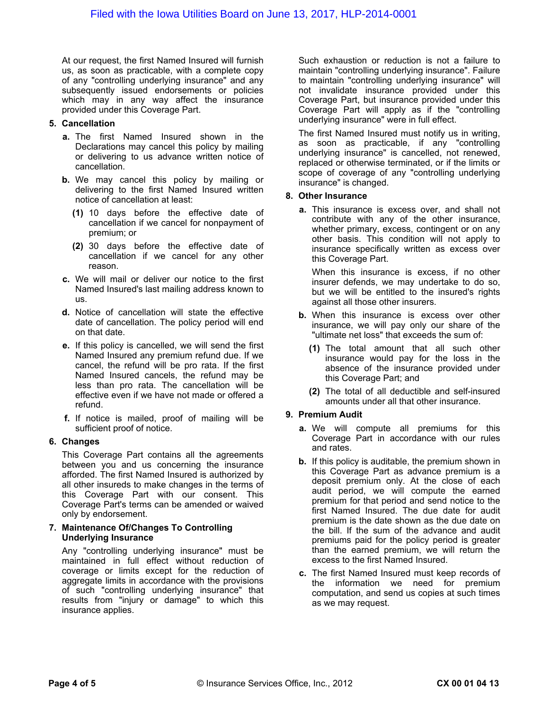At our request, the first Named Insured will furnish us, as soon as practicable, with a complete copy of any "controlling underlying insurance" and any subsequently issued endorsements or policies which may in any way affect the insurance provided under this Coverage Part.

#### **5. Cancellation**

- **a.** The first Named Insured shown in the Declarations may cancel this policy by mailing or delivering to us advance written notice of cancellation.
- **b.** We may cancel this policy by mailing or delivering to the first Named Insured written notice of cancellation at least:
	- **(1)** 10 days before the effective date of cancellation if we cancel for nonpayment of premium; or
	- **(2)** 30 days before the effective date of cancellation if we cancel for any other reason.
- **c.** We will mail or deliver our notice to the first Named Insured's last mailing address known to us.
- **d.** Notice of cancellation will state the effective date of cancellation. The policy period will end on that date.
- **e.** If this policy is cancelled, we will send the first Named Insured any premium refund due. If we cancel, the refund will be pro rata. If the first Named Insured cancels, the refund may be less than pro rata. The cancellation will be effective even if we have not made or offered a refund.
- **f.** If notice is mailed, proof of mailing will be sufficient proof of notice.

#### **6. Changes**

This Coverage Part contains all the agreements between you and us concerning the insurance afforded. The first Named Insured is authorized by all other insureds to make changes in the terms of this Coverage Part with our consent. This Coverage Part's terms can be amended or waived only by endorsement.

#### **7. Maintenance Of/Changes To Controlling Underlying Insurance**

Any "controlling underlying insurance" must be maintained in full effect without reduction of coverage or limits except for the reduction of aggregate limits in accordance with the provisions of such "controlling underlying insurance" that results from "injury or damage" to which this insurance applies.

Such exhaustion or reduction is not a failure to maintain "controlling underlying insurance". Failure to maintain "controlling underlying insurance" will not invalidate insurance provided under this Coverage Part, but insurance provided under this Coverage Part will apply as if the "controlling underlying insurance" were in full effect.

The first Named Insured must notify us in writing, as soon as practicable, if any "controlling underlying insurance" is cancelled, not renewed, replaced or otherwise terminated, or if the limits or scope of coverage of any "controlling underlying insurance" is changed.

#### **8. Other Insurance**

**a.** This insurance is excess over, and shall not contribute with any of the other insurance, whether primary, excess, contingent or on any other basis. This condition will not apply to insurance specifically written as excess over this Coverage Part.

When this insurance is excess, if no other insurer defends, we may undertake to do so, but we will be entitled to the insured's rights against all those other insurers.

- **b.** When this insurance is excess over other insurance, we will pay only our share of the "ultimate net loss" that exceeds the sum of:
	- **(1)** The total amount that all such other insurance would pay for the loss in the absence of the insurance provided under this Coverage Part; and
	- **(2)** The total of all deductible and self-insured amounts under all that other insurance.

#### **9. Premium Audit**

- **a.** We will compute all premiums for this Coverage Part in accordance with our rules and rates.
- **b.** If this policy is auditable, the premium shown in this Coverage Part as advance premium is a deposit premium only. At the close of each audit period, we will compute the earned premium for that period and send notice to the first Named Insured. The due date for audit premium is the date shown as the due date on the bill. If the sum of the advance and audit premiums paid for the policy period is greater than the earned premium, we will return the excess to the first Named Insured.
- **c.** The first Named Insured must keep records of the information we need for premium computation, and send us copies at such times as we may request.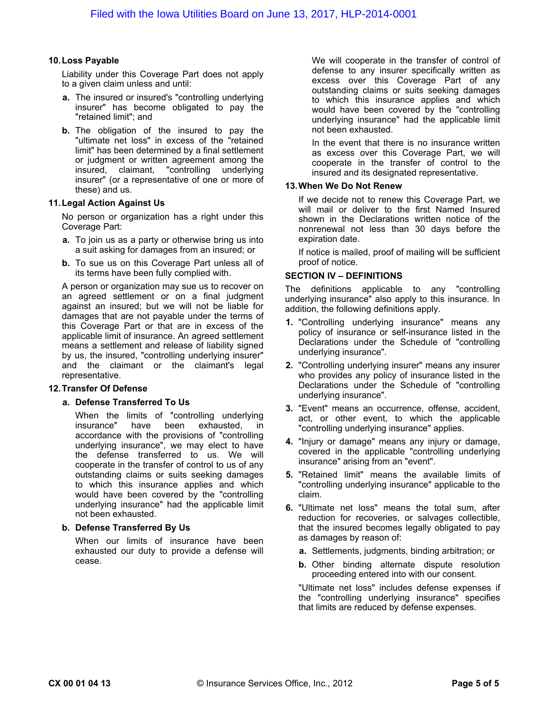#### **10.Loss Payable**

Liability under this Coverage Part does not apply to a given claim unless and until:

- **a.** The insured or insured's "controlling underlying insurer" has become obligated to pay the "retained limit"; and
- **b.** The obligation of the insured to pay the "ultimate net loss" in excess of the "retained limit" has been determined by a final settlement or judgment or written agreement among the insured, claimant, "controlling underlying insurer" (or a representative of one or more of these) and us.

#### **11.Legal Action Against Us**

No person or organization has a right under this Coverage Part:

- **a.** To join us as a party or otherwise bring us into a suit asking for damages from an insured; or
- **b.** To sue us on this Coverage Part unless all of its terms have been fully complied with.

A person or organization may sue us to recover on an agreed settlement or on a final judgment against an insured; but we will not be liable for damages that are not payable under the terms of this Coverage Part or that are in excess of the applicable limit of insurance. An agreed settlement means a settlement and release of liability signed by us, the insured, "controlling underlying insurer" and the claimant or the claimant's legal representative.

#### **12.Transfer Of Defense**

#### **a. Defense Transferred To Us**

When the limits of "controlling underlying<br>insurance" have been exhausted, in have been exhausted, in accordance with the provisions of "controlling underlying insurance", we may elect to have the defense transferred to us. We will cooperate in the transfer of control to us of any outstanding claims or suits seeking damages to which this insurance applies and which would have been covered by the "controlling underlying insurance" had the applicable limit not been exhausted.

#### **b. Defense Transferred By Us**

When our limits of insurance have been exhausted our duty to provide a defense will cease.

We will cooperate in the transfer of control of defense to any insurer specifically written as excess over this Coverage Part of any outstanding claims or suits seeking damages to which this insurance applies and which would have been covered by the "controlling underlying insurance" had the applicable limit not been exhausted.

In the event that there is no insurance written as excess over this Coverage Part, we will cooperate in the transfer of control to the insured and its designated representative.

#### **13.When We Do Not Renew**

If we decide not to renew this Coverage Part, we will mail or deliver to the first Named Insured shown in the Declarations written notice of the nonrenewal not less than 30 days before the expiration date.

If notice is mailed, proof of mailing will be sufficient proof of notice.

#### **SECTION IV – DEFINITIONS**

The definitions applicable to any "controlling underlying insurance" also apply to this insurance. In addition, the following definitions apply.

- **1.** "Controlling underlying insurance" means any policy of insurance or self-insurance listed in the Declarations under the Schedule of "controlling underlying insurance".
- **2.** "Controlling underlying insurer" means any insurer who provides any policy of insurance listed in the Declarations under the Schedule of "controlling underlying insurance".
- **3.** "Event" means an occurrence, offense, accident, act, or other event, to which the applicable "controlling underlying insurance" applies.
- **4.** "Injury or damage" means any injury or damage, covered in the applicable "controlling underlying insurance" arising from an "event".
- **5.** "Retained limit" means the available limits of "controlling underlying insurance" applicable to the claim.
- **6.** "Ultimate net loss" means the total sum, after reduction for recoveries, or salvages collectible, that the insured becomes legally obligated to pay as damages by reason of:
	- **a.** Settlements, judgments, binding arbitration; or
	- **b.** Other binding alternate dispute resolution proceeding entered into with our consent.

"Ultimate net loss" includes defense expenses if the "controlling underlying insurance" specifies that limits are reduced by defense expenses.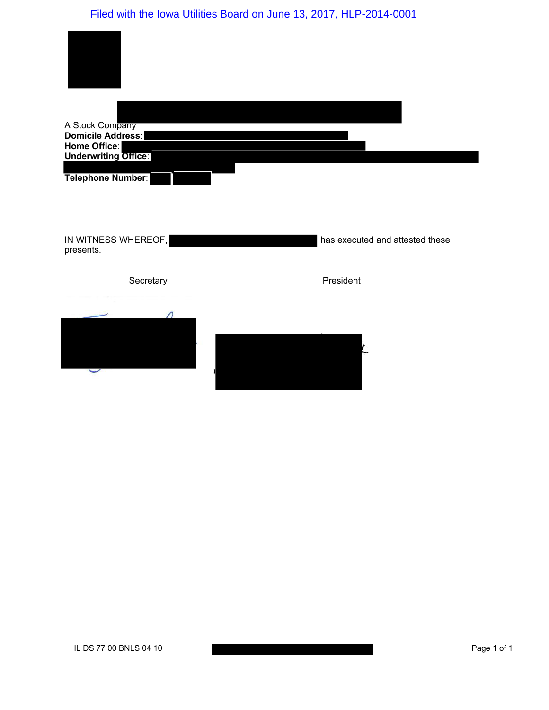# Filed with the Iowa Utilities Board on June 13, 2017, HLP-2014-0001

| A Stock Company<br>Domicile Address:<br>Home Office:<br><b>Underwriting Office:</b> |                                 |
|-------------------------------------------------------------------------------------|---------------------------------|
| Telephone Number:                                                                   |                                 |
| IN WITNESS WHEREOF,<br>presents.                                                    | has executed and attested these |
| Secretary                                                                           | President                       |
|                                                                                     |                                 |